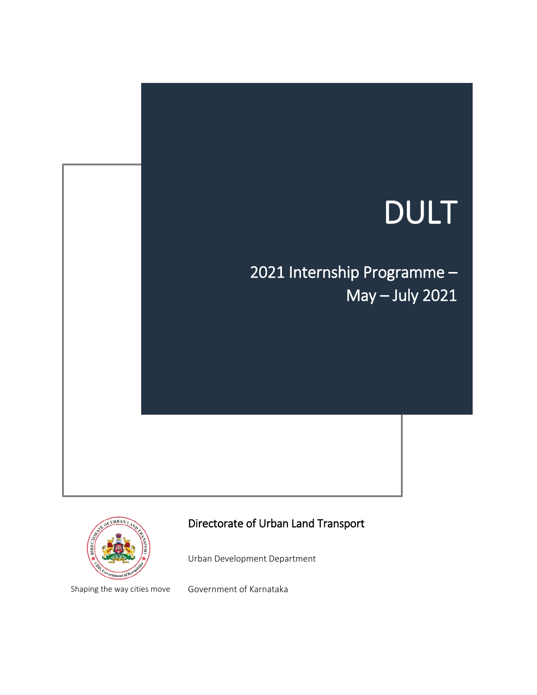# DULT

2021 Internship Programme – May – July 2021



# Directorate of Urban Land Transport

Urban Development Department

Shaping the way cities move

Government of Karnataka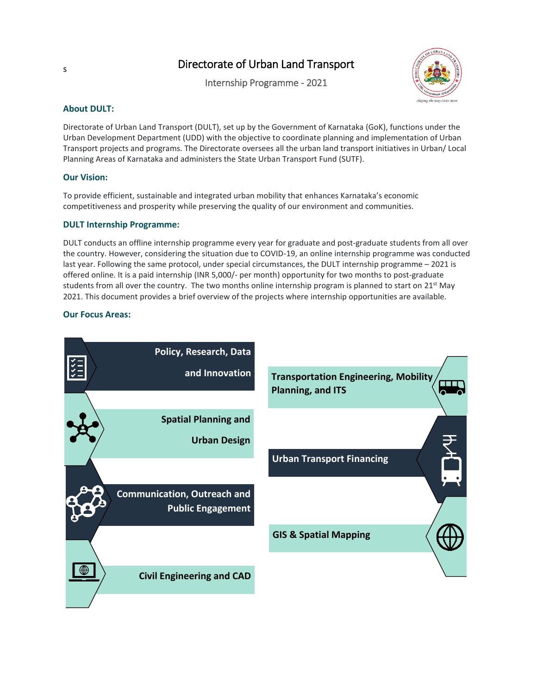# Directorate of Urban Land Transport

Internship Programme - 2021



#### **About DULT:**

Directorate of Urban Land Transport (DULT), set up by the Government of Karnataka (GoK), functions under the Urban Development Department (UDD) with the objective to coordinate planning and implementation of Urban Transport projects and programs. The Directorate oversees all the urban land transport initiatives in Urban/ Local Planning Areas of Karnataka and administers the State Urban Transport Fund (SUTF).

#### **Our Vision:**

To provide efficient, sustainable and integrated urban mobility that enhances Karnataka's economic competitiveness and prosperity while preserving the quality of our environment and communities.

#### **DULT Internship Programme:**

DULT conducts an offline internship programme every year for graduate and post-graduate students from all over the country. However, considering the situation due to COVID-19, an online internship programme was conducted last year. Following the same protocol, under special circumstances, the DULT internship programme – 2021 is offered online. It is a paid internship (INR 5,000/- per month) opportunity for two months to post-graduate students from all over the country. The two months online internship program is planned to start on 21<sup>st</sup> May 2021. This document provides a brief overview of the projects where internship opportunities are available.

#### **Our Focus Areas:**



s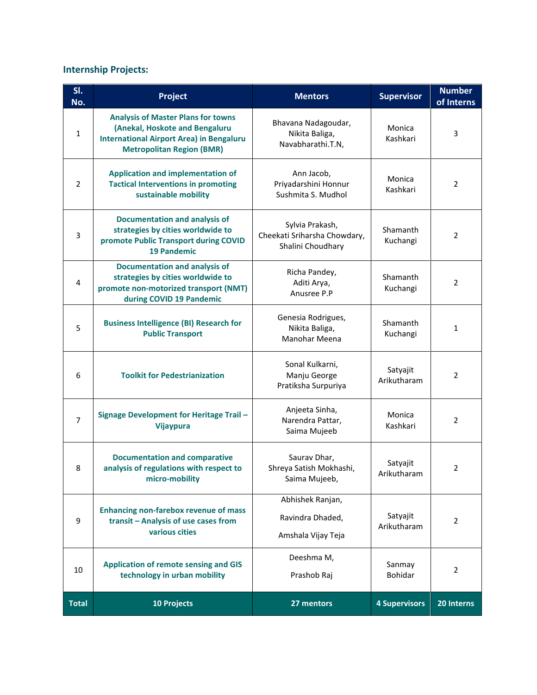# **Internship Projects:**

| SI.<br>No.     | Project                                                                                                                                                                    | <b>Mentors</b>                                                       | <b>Supervisor</b>        | <b>Number</b><br>of Interns |
|----------------|----------------------------------------------------------------------------------------------------------------------------------------------------------------------------|----------------------------------------------------------------------|--------------------------|-----------------------------|
| $\mathbf{1}$   | <b>Analysis of Master Plans for towns</b><br>(Anekal, Hoskote and Bengaluru<br><b>International Airport Area) in Bengaluru</b><br><b>Metropolitan Region (BMR)</b>         | Bhavana Nadagoudar,<br>Nikita Baliga,<br>Navabharathi.T.N,           | Monica<br>Kashkari       | 3                           |
| $\overline{2}$ | <b>Application and implementation of</b><br>Ann Jacob,<br><b>Tactical Interventions in promoting</b><br>Priyadarshini Honnur<br>sustainable mobility<br>Sushmita S. Mudhol |                                                                      | Monica<br>Kashkari       | $\overline{2}$              |
| 3              | <b>Documentation and analysis of</b><br>strategies by cities worldwide to<br>promote Public Transport during COVID<br><b>19 Pandemic</b>                                   | Sylvia Prakash,<br>Cheekati Sriharsha Chowdary,<br>Shalini Choudhary | Shamanth<br>Kuchangi     | $\overline{2}$              |
| 4              | <b>Documentation and analysis of</b><br>strategies by cities worldwide to<br>promote non-motorized transport (NMT)<br>during COVID 19 Pandemic                             | Richa Pandey,<br>Aditi Arya,<br>Anusree P.P                          | Shamanth<br>Kuchangi     | $\overline{2}$              |
| 5              | <b>Business Intelligence (BI) Research for</b><br><b>Public Transport</b>                                                                                                  | Genesia Rodrigues,<br>Nikita Baliga,<br>Manohar Meena                | Shamanth<br>Kuchangi     | 1                           |
| 6              | <b>Toolkit for Pedestrianization</b>                                                                                                                                       | Sonal Kulkarni,<br>Manju George<br>Pratiksha Surpuriya               | Satyajit<br>Arikutharam  | 2                           |
| $\overline{7}$ | <b>Signage Development for Heritage Trail -</b><br><b>Vijaypura</b>                                                                                                        | Anjeeta Sinha,<br>Narendra Pattar,<br>Saima Mujeeb                   | Monica<br>Kashkari       | $\overline{2}$              |
| 8              | <b>Documentation and comparative</b><br>analysis of regulations with respect to<br>micro-mobility                                                                          | Saurav Dhar,<br>Shreya Satish Mokhashi,<br>Saima Mujeeb,             | Satyajit<br>Arikutharam  | $\overline{2}$              |
| 9              | <b>Enhancing non-farebox revenue of mass</b><br>transit - Analysis of use cases from<br>various cities                                                                     | Abhishek Ranjan,<br>Ravindra Dhaded,<br>Amshala Vijay Teja           | Satyajit<br>Arikutharam  | $\overline{2}$              |
| 10             | <b>Application of remote sensing and GIS</b><br>technology in urban mobility                                                                                               | Deeshma M,<br>Prashob Raj                                            | Sanmay<br><b>Bohidar</b> | 2                           |
| <b>Total</b>   | 10 Projects                                                                                                                                                                | 27 mentors                                                           | <b>4 Supervisors</b>     | 20 Interns                  |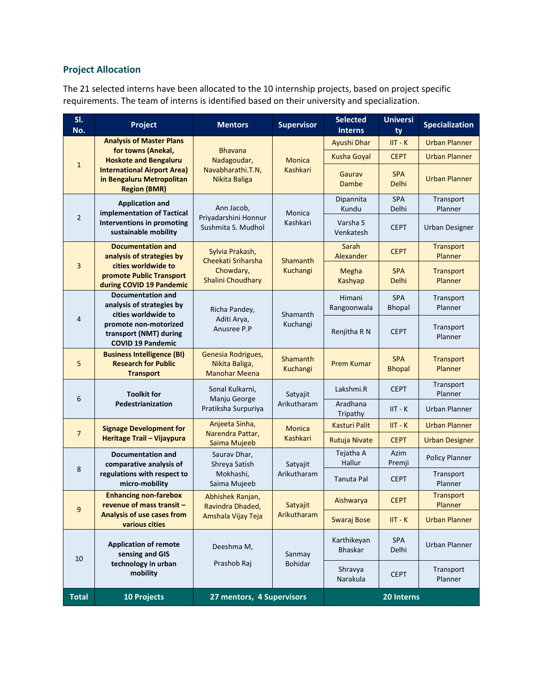# **Project Allocation**

The 21 selected interns have been allocated to the 10 internship projects, based on project specific requirements. The team of interns is identified based on their university and specialization.

| SI.<br>No.                                                                                                                                                       | Project<br><b>Supervisor</b><br><b>Mentors</b>                                      |                                                              | <b>Selected</b><br><b>Interns</b> | <b>Universi</b><br>ty         | <b>Specialization</b>       |                             |
|------------------------------------------------------------------------------------------------------------------------------------------------------------------|-------------------------------------------------------------------------------------|--------------------------------------------------------------|-----------------------------------|-------------------------------|-----------------------------|-----------------------------|
|                                                                                                                                                                  | <b>Analysis of Master Plans</b>                                                     |                                                              |                                   | Ayushi Dhar                   | $IIT - K$                   | <b>Urban Planner</b>        |
|                                                                                                                                                                  | for towns (Anekal,<br><b>Hoskote and Bengaluru</b>                                  | <b>Bhavana</b><br>Nadagoudar,                                | <b>Monica</b>                     | <b>Kusha Goyal</b>            | <b>CEPT</b>                 | <b>Urban Planner</b>        |
| $\mathbf{1}$<br><b>International Airport Area)</b><br>in Bengaluru Metropolitan<br><b>Region (BMR)</b>                                                           |                                                                                     | Navabharathi.T.N,<br>Nikita Baliga                           | Kashkari                          | Gaurav<br>Dambe               | <b>SPA</b><br>Delhi         | <b>Urban Planner</b>        |
|                                                                                                                                                                  | <b>Application and</b><br>implementation of Tactical                                | Ann Jacob,                                                   | Monica                            | Dipannita<br>Kundu            | SPA<br>Delhi                | Transport<br>Planner        |
| 2                                                                                                                                                                | Interventions in promoting<br>sustainable mobility                                  | Priyadarshini Honnur<br>Sushmita S. Mudhol                   | Kashkari                          | Varsha S<br>Venkatesh         | <b>CEPT</b>                 | <b>Urban Designer</b>       |
|                                                                                                                                                                  | <b>Documentation and</b><br>analysis of strategies by                               | Sylvia Prakash,<br>Cheekati Sriharsha<br>Shamanth            |                                   | Sarah<br>Alexander            | <b>CEPT</b>                 | <b>Transport</b><br>Planner |
| 3                                                                                                                                                                | cities worldwide to<br>promote Public Transport<br>during COVID 19 Pandemic         | Chowdary,<br>Shalini Choudhary                               | Kuchangi                          | Megha<br><b>Kashyap</b>       | <b>SPA</b><br>Delhi         | <b>Transport</b><br>Planner |
| <b>Documentation and</b><br>analysis of strategies by<br>cities worldwide to<br>4<br>promote non-motorized<br>transport (NMT) during<br><b>COVID 19 Pandemic</b> |                                                                                     | Richa Pandey,<br>Shamanth                                    |                                   | Himani<br>Rangoonwala         | <b>SPA</b><br><b>Bhopal</b> | Transport<br>Planner        |
|                                                                                                                                                                  |                                                                                     | Aditi Arya,<br>Anusree P.P                                   | Kuchangi                          | Renjitha R N                  | <b>CEPT</b>                 | Transport<br>Planner        |
| 5                                                                                                                                                                | <b>Business Intelligence (BI)</b><br><b>Research for Public</b><br><b>Transport</b> | Genesia Rodrigues,<br>Nikita Baliga,<br><b>Manohar Meena</b> | Shamanth<br>Kuchangi              | <b>Prem Kumar</b>             | <b>SPA</b><br><b>Bhopal</b> | Transport<br><b>Planner</b> |
| 6                                                                                                                                                                | <b>Toolkit for</b>                                                                  | Sonal Kulkarni,<br>Manju George                              | Satyajit<br>Arikutharam           | Lakshmi.R                     | <b>CEPT</b>                 | Transport<br>Planner        |
|                                                                                                                                                                  | Pedestrianization                                                                   | Pratiksha Surpuriya                                          |                                   | Aradhana<br>Tripathy          | $IIT - K$                   | <b>Urban Planner</b>        |
| $\overline{7}$                                                                                                                                                   | <b>Signage Development for</b>                                                      | Anjeeta Sinha,<br>Narendra Pattar,                           | <b>Monica</b>                     | <b>Kasturi Palit</b>          | $IIT - K$                   | <b>Urban Planner</b>        |
|                                                                                                                                                                  | Heritage Trail - Vijaypura                                                          | Saima Mujeeb                                                 | Kashkari                          | Rutuja Nivate                 | <b>CEPT</b>                 | <b>Urban Designer</b>       |
| 8                                                                                                                                                                | <b>Documentation and</b><br>comparative analysis of                                 | Saurav Dhar,<br>Shreya Satish                                | Satyajit                          | Tejatha A<br>Hallur           | Azim<br>Premji              | <b>Policy Planner</b>       |
|                                                                                                                                                                  | regulations with respect to<br>Mokhashi,<br>micro-mobility<br>Saima Mujeeb          |                                                              | Arikutharam                       | Tanuta Pal                    | <b>CEPT</b>                 | Transport<br>Planner        |
| 9                                                                                                                                                                | <b>Enhancing non-farebox</b><br>revenue of mass transit -                           | Abhishek Ranjan,<br>Ravindra Dhaded,                         | Satyajit<br>Arikutharam           | Aishwarya                     | <b>CEPT</b>                 | Transport<br>Planner        |
|                                                                                                                                                                  | Analysis of use cases from<br>various cities                                        | Amshala Vijay Teja                                           |                                   | <b>Swaraj Bose</b>            | $IIT - K$                   | <b>Urban Planner</b>        |
| 10                                                                                                                                                               | <b>Application of remote</b><br>sensing and GIS                                     | Deeshma M,                                                   | Sanmay                            | Karthikeyan<br><b>Bhaskar</b> | <b>SPA</b><br>Delhi         | Urban Planner               |
|                                                                                                                                                                  | technology in urban<br>mobility                                                     | Prashob Raj                                                  | Bohidar                           | Shravya<br>Narakula           | <b>CEPT</b>                 | Transport<br>Planner        |
| <b>Total</b>                                                                                                                                                     | <b>10 Projects</b>                                                                  | 27 mentors, 4 Supervisors                                    |                                   |                               | 20 Interns                  |                             |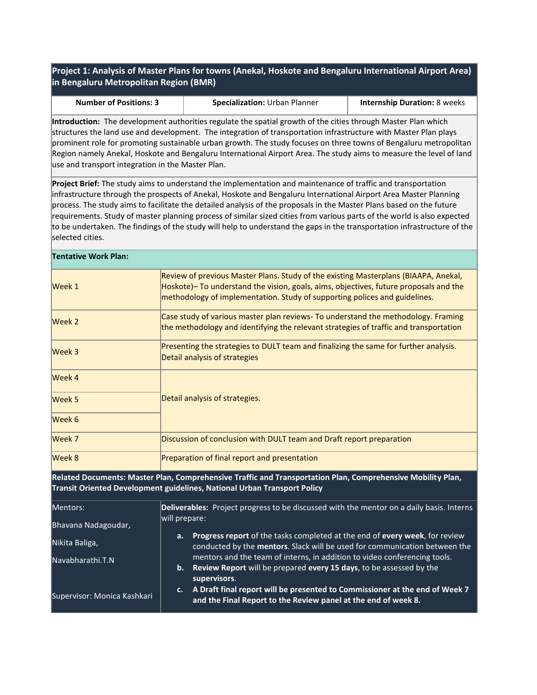### **Project 1: Analysis of Master Plans for towns (Anekal, Hoskote and Bengaluru International Airport Area) in Bengaluru Metropolitan Region (BMR)**

|  |  | <b>Number of Positions: 3</b> |  |
|--|--|-------------------------------|--|
|--|--|-------------------------------|--|

**Specialization:** Urban Planner **Internship Duration:** 8 weeks

**Introduction:** The development authorities regulate the spatial growth of the cities through Master Plan which structures the land use and development. The integration of transportation infrastructure with Master Plan plays prominent role for promoting sustainable urban growth. The study focuses on three towns of Bengaluru metropolitan Region namely Anekal, Hoskote and Bengaluru International Airport Area. The study aims to measure the level of land use and transport integration in the Master Plan.

**Project Brief:** The study aims to understand the implementation and maintenance of traffic and transportation infrastructure through the prospects of Anekal, Hoskote and Bengaluru International Airport Area Master Planning process. The study aims to facilitate the detailed analysis of the proposals in the Master Plans based on the future requirements. Study of master planning process of similar sized cities from various parts of the world is also expected to be undertaken. The findings of the study will help to understand the gaps in the transportation infrastructure of the selected cities.

### **Tentative Work Plan:**

| Week 1 | Review of previous Master Plans. Study of the existing Masterplans (BIAAPA, Anekal,<br>Hoskote)– To understand the vision, goals, aims, objectives, future proposals and the<br>methodology of implementation. Study of supporting polices and guidelines. |
|--------|------------------------------------------------------------------------------------------------------------------------------------------------------------------------------------------------------------------------------------------------------------|
| Week 2 | Case study of various master plan reviews- To understand the methodology. Framing<br>the methodology and identifying the relevant strategies of traffic and transportation                                                                                 |
| Week 3 | Presenting the strategies to DULT team and finalizing the same for further analysis.<br>Detail analysis of strategies                                                                                                                                      |
| Week 4 |                                                                                                                                                                                                                                                            |
| Week 5 | Detail analysis of strategies.                                                                                                                                                                                                                             |
| Week 6 |                                                                                                                                                                                                                                                            |
| Week 7 | Discussion of conclusion with DULT team and Draft report preparation                                                                                                                                                                                       |
| Week 8 | Preparation of final report and presentation                                                                                                                                                                                                               |

**Related Documents: Master Plan, Comprehensive Traffic and Transportation Plan, Comprehensive Mobility Plan, Transit Oriented Development guidelines, National Urban Transport Policy**

| Mentors:                    | Deliverables: Project progress to be discussed with the mentor on a daily basis. Interns |                                                                                                                                                                  |  |  |
|-----------------------------|------------------------------------------------------------------------------------------|------------------------------------------------------------------------------------------------------------------------------------------------------------------|--|--|
| Bhavana Nadagoudar,         | will prepare:                                                                            |                                                                                                                                                                  |  |  |
| Nikita Baliga,              | а.                                                                                       | Progress report of the tasks completed at the end of every week, for review<br>conducted by the mentors. Slack will be used for communication between the        |  |  |
| Navabharathi.T.N            | b.                                                                                       | mentors and the team of interns, in addition to video conferencing tools.<br>Review Report will be prepared every 15 days, to be assessed by the<br>supervisors. |  |  |
| Supervisor: Monica Kashkari | c.                                                                                       | A Draft final report will be presented to Commissioner at the end of Week 7<br>and the Final Report to the Review panel at the end of week 8.                    |  |  |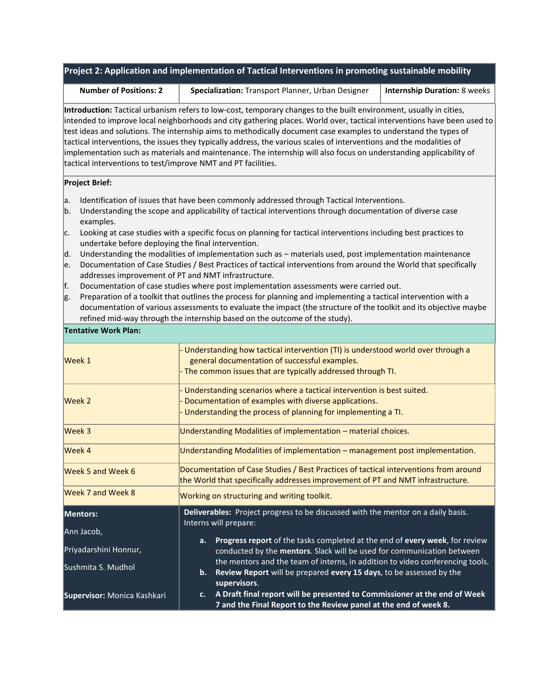| Project 2: Application and implementation of Tactical Interventions in promoting sustainable mobility |
|-------------------------------------------------------------------------------------------------------|
|-------------------------------------------------------------------------------------------------------|

**Number of Positions: 2 Specialization:** Transport Planner, Urban Designer **Internship Duration:** 8 weeks

**Introduction:** Tactical urbanism refers to low-cost, temporary changes to the built environment, usually in cities, intended to improve local neighborhoods and city gathering places. World over, tactical interventions have been used to test ideas and solutions. The internship aims to methodically document case examples to understand the types of tactical interventions, the issues they typically address, the various scales of interventions and the modalities of implementation such as materials and maintenance. The internship will also focus on understanding applicability of tactical interventions to test/improve NMT and PT facilities.

#### **Project Brief:**

- a. Identification of issues that have been commonly addressed through Tactical Interventions.
- b. Understanding the scope and applicability of tactical interventions through documentation of diverse case examples.
- $c.$  Looking at case studies with a specific focus on planning for tactical interventions including best practices to undertake before deploying the final intervention.
- d. Understanding the modalities of implementation such as materials used, post implementation maintenance
- e. Documentation of Case Studies / Best Practices of tactical interventions from around the World that specifically addresses improvement of PT and NMT infrastructure.
- Documentation of case studies where post implementation assessments were carried out.
- g. Preparation of a toolkit that outlines the process for planning and implementing a tactical intervention with a documentation of various assessments to evaluate the impact (the structure of the toolkit and its objective maybe refined mid-way through the internship based on the outcome of the study).

| Week 1                              | Understanding how tactical intervention (TI) is understood world over through a<br>general documentation of successful examples.<br>- The common issues that are typically addressed through TI. |  |
|-------------------------------------|--------------------------------------------------------------------------------------------------------------------------------------------------------------------------------------------------|--|
| Week 2                              | Understanding scenarios where a tactical intervention is best suited.<br>Documentation of examples with diverse applications.<br>- Understanding the process of planning for implementing a TI.  |  |
| Week 3                              | Understanding Modalities of implementation - material choices.                                                                                                                                   |  |
| Week 4                              | Understanding Modalities of implementation - management post implementation.                                                                                                                     |  |
| Week 5 and Week 6                   | Documentation of Case Studies / Best Practices of tactical interventions from around<br>the World that specifically addresses improvement of PT and NMT infrastructure.                          |  |
| Week 7 and Week 8                   | Working on structuring and writing toolkit.                                                                                                                                                      |  |
| Mentors:                            | Deliverables: Project progress to be discussed with the mentor on a daily basis.<br>Interns will prepare:                                                                                        |  |
| Ann Jacob,<br>Priyadarshini Honnur, | Progress report of the tasks completed at the end of every week, for review<br>a.<br>conducted by the mentors. Slack will be used for communication between                                      |  |
| Sushmita S. Mudhol                  | the mentors and the team of interns, in addition to video conferencing tools.<br>Review Report will be prepared every 15 days, to be assessed by the<br>b.<br>supervisors.                       |  |
| Supervisor: Monica Kashkari         | A Draft final report will be presented to Commissioner at the end of Week<br>c.<br>7 and the Final Report to the Review panel at the end of week 8.                                              |  |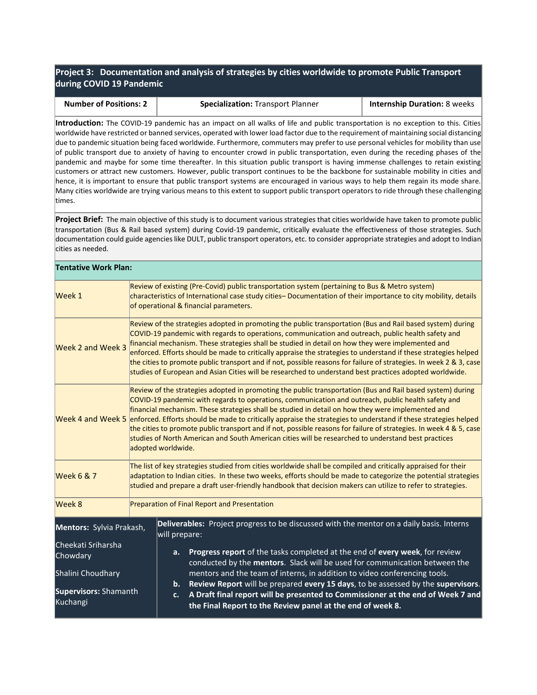**Project 3: Documentation and analysis of strategies by cities worldwide to promote Public Transport during COVID 19 Pandemic**

| <b>Number of Positions: 2</b> | <b>Specialization: Transport Planner</b> | <b>Internship Duration: 8 weeks</b> |
|-------------------------------|------------------------------------------|-------------------------------------|

**Introduction:** The COVID-19 pandemic has an impact on all walks of life and public transportation is no exception to this. Cities worldwide have restricted or banned services, operated with lower load factor due to the requirement of maintaining social distancing due to pandemic situation being faced worldwide. Furthermore, commuters may prefer to use personal vehicles for mobility than use of public transport due to anxiety of having to encounter crowd in public transportation, even during the receding phases of the pandemic and maybe for some time thereafter. In this situation public transport is having immense challenges to retain existing customers or attract new customers. However, public transport continues to be the backbone for sustainable mobility in cities and hence, it is important to ensure that public transport systems are encouraged in various ways to help them regain its mode share. Many cities worldwide are trying various means to this extent to support public transport operators to ride through these challenging times.

**Project Brief:** The main objective of this study is to document various strategies that cities worldwide have taken to promote public transportation (Bus & Rail based system) during Covid-19 pandemic, critically evaluate the effectiveness of those strategies. Such documentation could guide agencies like DULT, public transport operators, etc. to consider appropriate strategies and adopt to Indian cities as needed.

| <b>Tentative Work Plan:</b>       |                                                                                                                                                                                                                                                                                                                                                                                                                                                                                                                                                                                                                                                                                                               |                                                                                                                                                                                                                                                                                                                                                                                                                                                                                                                                                                                                                                                                           |  |  |  |
|-----------------------------------|---------------------------------------------------------------------------------------------------------------------------------------------------------------------------------------------------------------------------------------------------------------------------------------------------------------------------------------------------------------------------------------------------------------------------------------------------------------------------------------------------------------------------------------------------------------------------------------------------------------------------------------------------------------------------------------------------------------|---------------------------------------------------------------------------------------------------------------------------------------------------------------------------------------------------------------------------------------------------------------------------------------------------------------------------------------------------------------------------------------------------------------------------------------------------------------------------------------------------------------------------------------------------------------------------------------------------------------------------------------------------------------------------|--|--|--|
| Week 1                            |                                                                                                                                                                                                                                                                                                                                                                                                                                                                                                                                                                                                                                                                                                               | Review of existing (Pre-Covid) public transportation system (pertaining to Bus & Metro system)<br>characteristics of International case study cities– Documentation of their importance to city mobility, details<br>of operational & financial parameters.                                                                                                                                                                                                                                                                                                                                                                                                               |  |  |  |
| Week 2 and Week 3                 |                                                                                                                                                                                                                                                                                                                                                                                                                                                                                                                                                                                                                                                                                                               | Review of the strategies adopted in promoting the public transportation (Bus and Rail based system) during<br>COVID-19 pandemic with regards to operations, communication and outreach, public health safety and<br>financial mechanism. These strategies shall be studied in detail on how they were implemented and<br>enforced. Efforts should be made to critically appraise the strategies to understand if these strategies helped<br>the cities to promote public transport and if not, possible reasons for failure of strategies. In week 2 & 3, case<br>studies of European and Asian Cities will be researched to understand best practices adopted worldwide. |  |  |  |
|                                   | Review of the strategies adopted in promoting the public transportation (Bus and Rail based system) during<br>COVID-19 pandemic with regards to operations, communication and outreach, public health safety and<br>financial mechanism. These strategies shall be studied in detail on how they were implemented and<br>Week 4 and Week 5 enforced. Efforts should be made to critically appraise the strategies to understand if these strategies helped<br>the cities to promote public transport and if not, possible reasons for failure of strategies. In week 4 & 5, case<br>studies of North American and South American cities will be researched to understand best practices<br>adopted worldwide. |                                                                                                                                                                                                                                                                                                                                                                                                                                                                                                                                                                                                                                                                           |  |  |  |
| <b>Week 6 &amp; 7</b>             |                                                                                                                                                                                                                                                                                                                                                                                                                                                                                                                                                                                                                                                                                                               | The list of key strategies studied from cities worldwide shall be compiled and critically appraised for their<br>adaptation to Indian cities. In these two weeks, efforts should be made to categorize the potential strategies<br>studied and prepare a draft user-friendly handbook that decision makers can utilize to refer to strategies.                                                                                                                                                                                                                                                                                                                            |  |  |  |
| Week 8                            |                                                                                                                                                                                                                                                                                                                                                                                                                                                                                                                                                                                                                                                                                                               | Preparation of Final Report and Presentation                                                                                                                                                                                                                                                                                                                                                                                                                                                                                                                                                                                                                              |  |  |  |
| Mentors: Sylvia Prakash,          |                                                                                                                                                                                                                                                                                                                                                                                                                                                                                                                                                                                                                                                                                                               | Deliverables: Project progress to be discussed with the mentor on a daily basis. Interns<br>will prepare:                                                                                                                                                                                                                                                                                                                                                                                                                                                                                                                                                                 |  |  |  |
| Cheekati Sriharsha<br>Chowdary    |                                                                                                                                                                                                                                                                                                                                                                                                                                                                                                                                                                                                                                                                                                               | Progress report of the tasks completed at the end of every week, for review<br>a.<br>conducted by the mentors. Slack will be used for communication between the                                                                                                                                                                                                                                                                                                                                                                                                                                                                                                           |  |  |  |
| Shalini Choudhary                 |                                                                                                                                                                                                                                                                                                                                                                                                                                                                                                                                                                                                                                                                                                               | mentors and the team of interns, in addition to video conferencing tools.<br>Review Report will be prepared every 15 days, to be assessed by the supervisors.<br>b.                                                                                                                                                                                                                                                                                                                                                                                                                                                                                                       |  |  |  |
| Supervisors: Shamanth<br>Kuchangi |                                                                                                                                                                                                                                                                                                                                                                                                                                                                                                                                                                                                                                                                                                               | A Draft final report will be presented to Commissioner at the end of Week 7 and<br>C <sub>1</sub><br>the Final Report to the Review panel at the end of week 8.                                                                                                                                                                                                                                                                                                                                                                                                                                                                                                           |  |  |  |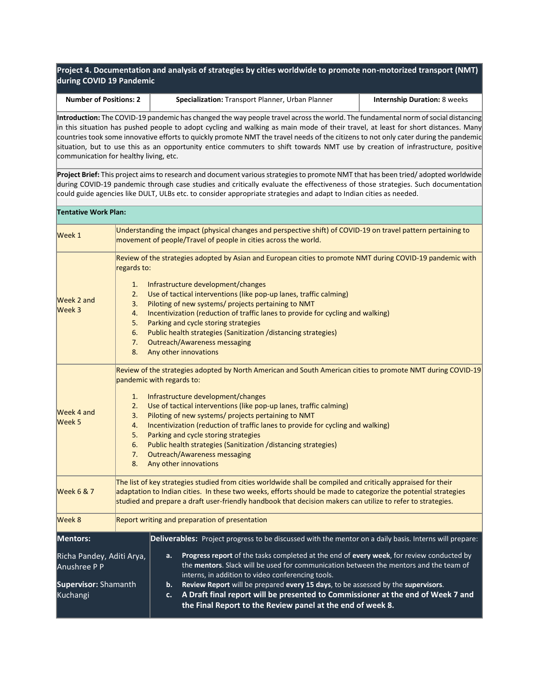**Project 4. Documentation and analysis of strategies by cities worldwide to promote non-motorized transport (NMT) during COVID 19 Pandemic**

| <b>Number of Positions: 2</b> | <b>Specialization: Transport Planner, Urban Planner</b> | <b>Internship Duration: 8 weeks</b> |
|-------------------------------|---------------------------------------------------------|-------------------------------------|

**Introduction:** The COVID-19 pandemic has changed the way people travel across the world. The fundamental norm of social distancing in this situation has pushed people to adopt cycling and walking as main mode of their travel, at least for short distances. Many countries took some innovative efforts to quickly promote NMT the travel needs of the citizens to not only cater during the pandemic situation, but to use this as an opportunity entice commuters to shift towards NMT use by creation of infrastructure, positive communication for healthy living, etc.

**Project Brief:** This project aims to research and document various strategies to promote NMT that has been tried/ adopted worldwide during COVID-19 pandemic through case studies and critically evaluate the effectiveness of those strategies. Such documentation could guide agencies like DULT, ULBs etc. to consider appropriate strategies and adapt to Indian cities as needed.

| <b>Tentative Work Plan:</b>                                                   |                                                                                                                                                                                                                                                                                                                                                                                                                                                                                                                                                                                                                          |  |
|-------------------------------------------------------------------------------|--------------------------------------------------------------------------------------------------------------------------------------------------------------------------------------------------------------------------------------------------------------------------------------------------------------------------------------------------------------------------------------------------------------------------------------------------------------------------------------------------------------------------------------------------------------------------------------------------------------------------|--|
| Week 1                                                                        | Understanding the impact (physical changes and perspective shift) of COVID-19 on travel pattern pertaining to<br>movement of people/Travel of people in cities across the world.                                                                                                                                                                                                                                                                                                                                                                                                                                         |  |
| <b>Week 2 and</b><br>Week 3                                                   | Review of the strategies adopted by Asian and European cities to promote NMT during COVID-19 pandemic with<br>regards to:<br>Infrastructure development/changes<br>1.<br>Use of tactical interventions (like pop-up lanes, traffic calming)<br>2.<br>Piloting of new systems/ projects pertaining to NMT<br>3.<br>Incentivization (reduction of traffic lanes to provide for cycling and walking)<br>4.<br>Parking and cycle storing strategies<br>5.<br>Public health strategies (Sanitization /distancing strategies)<br>6.<br>7.<br><b>Outreach/Awareness messaging</b><br>8.<br>Any other innovations                |  |
| Week 4 and<br>Week 5                                                          | Review of the strategies adopted by North American and South American cities to promote NMT during COVID-19<br>pandemic with regards to:<br>Infrastructure development/changes<br>1.<br>Use of tactical interventions (like pop-up lanes, traffic calming)<br>2.<br>Piloting of new systems/ projects pertaining to NMT<br>3.<br>Incentivization (reduction of traffic lanes to provide for cycling and walking)<br>4.<br>Parking and cycle storing strategies<br>5.<br>Public health strategies (Sanitization /distancing strategies)<br>6.<br><b>Outreach/Awareness messaging</b><br>7.<br>8.<br>Any other innovations |  |
| <b>Week 6 &amp; 7</b>                                                         | The list of key strategies studied from cities worldwide shall be compiled and critically appraised for their<br>adaptation to Indian cities. In these two weeks, efforts should be made to categorize the potential strategies<br>studied and prepare a draft user-friendly handbook that decision makers can utilize to refer to strategies.                                                                                                                                                                                                                                                                           |  |
| Week 8<br>Report writing and preparation of presentation                      |                                                                                                                                                                                                                                                                                                                                                                                                                                                                                                                                                                                                                          |  |
| Mentors:                                                                      | Deliverables: Project progress to be discussed with the mentor on a daily basis. Interns will prepare:                                                                                                                                                                                                                                                                                                                                                                                                                                                                                                                   |  |
| Richa Pandey, Aditi Arya,<br>Anushree P P<br>Supervisor: Shamanth<br>Kuchangi | Progress report of the tasks completed at the end of every week, for review conducted by<br>a.<br>the mentors. Slack will be used for communication between the mentors and the team of<br>interns, in addition to video conferencing tools.<br>Review Report will be prepared every 15 days, to be assessed by the supervisors.<br>b.<br>A Draft final report will be presented to Commissioner at the end of Week 7 and<br>c.<br>the Final Report to the Review panel at the end of week 8.                                                                                                                            |  |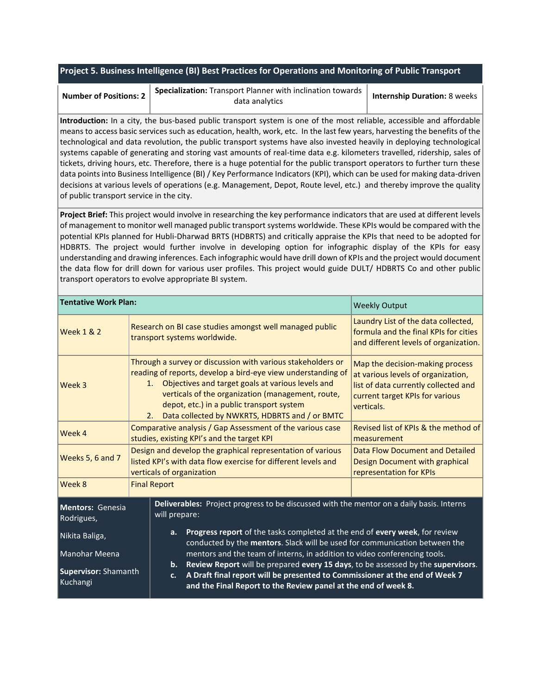#### **Project 5. Business Intelligence (BI) Best Practices for Operations and Monitoring of Public Transport**

| Specialization: Transport Planner with inclination towards $ $<br>data analytics | <b>Internship Duration: 8 weeks</b> |
|----------------------------------------------------------------------------------|-------------------------------------|
|                                                                                  | Number of Positions: 2              |

**Introduction:** In a city, the bus-based public transport system is one of the most reliable, accessible and affordable means to access basic services such as education, health, work, etc. In the last few years, harvesting the benefits of the technological and data revolution, the public transport systems have also invested heavily in deploying technological systems capable of generating and storing vast amounts of real-time data e.g. kilometers travelled, ridership, sales of tickets, driving hours, etc. Therefore, there is a huge potential for the public transport operators to further turn these data points into Business Intelligence (BI) / Key Performance Indicators (KPI), which can be used for making data-driven decisions at various levels of operations (e.g. Management, Depot, Route level, etc.) and thereby improve the quality of public transport service in the city.

**Project Brief:** This project would involve in researching the key performance indicators that are used at different levels of management to monitor well managed public transport systems worldwide. These KPIs would be compared with the potential KPIs planned for Hubli-Dharwad BRTS (HDBRTS) and critically appraise the KPIs that need to be adopted for HDBRTS. The project would further involve in developing option for infographic display of the KPIs for easy understanding and drawing inferences. Each infographic would have drill down of KPIs and the project would document the data flow for drill down for various user profiles. This project would guide DULT/ HDBRTS Co and other public transport operators to evolve appropriate BI system.

| <b>Tentative Work Plan:</b>                                                                                                                 |                                                                                                                                                                 | <b>Weekly Output</b>                                                                                                                                                                                                                                                                                                                             |                                                                                         |                                                                                                                                                                |  |
|---------------------------------------------------------------------------------------------------------------------------------------------|-----------------------------------------------------------------------------------------------------------------------------------------------------------------|--------------------------------------------------------------------------------------------------------------------------------------------------------------------------------------------------------------------------------------------------------------------------------------------------------------------------------------------------|-----------------------------------------------------------------------------------------|----------------------------------------------------------------------------------------------------------------------------------------------------------------|--|
| <b>Week 1 &amp; 2</b>                                                                                                                       |                                                                                                                                                                 |                                                                                                                                                                                                                                                                                                                                                  | Research on BI case studies amongst well managed public<br>transport systems worldwide. | Laundry List of the data collected,<br>formula and the final KPIs for cities<br>and different levels of organization.                                          |  |
| Week 3                                                                                                                                      |                                                                                                                                                                 | Through a survey or discussion with various stakeholders or<br>reading of reports, develop a bird-eye view understanding of<br>Objectives and target goals at various levels and<br>1.<br>verticals of the organization (management, route,<br>depot, etc.) in a public transport system<br>Data collected by NWKRTS, HDBRTS and / or BMTC<br>2. |                                                                                         | Map the decision-making process<br>at various levels of organization,<br>list of data currently collected and<br>current target KPIs for various<br>verticals. |  |
| Week 4                                                                                                                                      |                                                                                                                                                                 | Comparative analysis / Gap Assessment of the various case<br>Revised list of KPIs & the method of<br>studies, existing KPI's and the target KPI<br>measurement                                                                                                                                                                                   |                                                                                         |                                                                                                                                                                |  |
| Weeks 5, 6 and 7                                                                                                                            |                                                                                                                                                                 | Design and develop the graphical representation of various<br>listed KPI's with data flow exercise for different levels and<br>verticals of organization                                                                                                                                                                                         |                                                                                         | Data Flow Document and Detailed<br>Design Document with graphical<br>representation for KPIs                                                                   |  |
| Week 8                                                                                                                                      |                                                                                                                                                                 | <b>Final Report</b>                                                                                                                                                                                                                                                                                                                              |                                                                                         |                                                                                                                                                                |  |
| Deliverables: Project progress to be discussed with the mentor on a daily basis. Interns<br>Mentors: Genesia<br>will prepare:<br>Rodrigues, |                                                                                                                                                                 |                                                                                                                                                                                                                                                                                                                                                  |                                                                                         |                                                                                                                                                                |  |
| Nikita Baliga,                                                                                                                              | Progress report of the tasks completed at the end of every week, for review<br>a.<br>conducted by the mentors. Slack will be used for communication between the |                                                                                                                                                                                                                                                                                                                                                  |                                                                                         |                                                                                                                                                                |  |
| Manohar Meena<br><b>Supervisor: Shamanth</b><br>Kuchangi                                                                                    |                                                                                                                                                                 | mentors and the team of interns, in addition to video conferencing tools.<br>Review Report will be prepared every 15 days, to be assessed by the supervisors.<br>$\mathbf{b}$ .<br>A Draft final report will be presented to Commissioner at the end of Week 7<br>$c_{\cdot}$<br>and the Final Report to the Review panel at the end of week 8.  |                                                                                         |                                                                                                                                                                |  |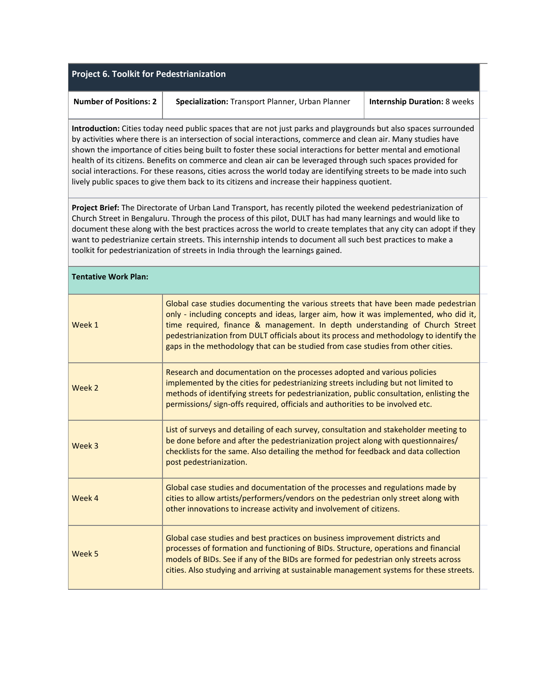| <b>Project 6. Toolkit for Pedestrianization</b>                                                                                                                                                                                                                                                                                                                                                                                                                                                                                                                                                                                                                                             |                                                                                                                                                                                                                                                                                                                                                                                                                                           |  |  |
|---------------------------------------------------------------------------------------------------------------------------------------------------------------------------------------------------------------------------------------------------------------------------------------------------------------------------------------------------------------------------------------------------------------------------------------------------------------------------------------------------------------------------------------------------------------------------------------------------------------------------------------------------------------------------------------------|-------------------------------------------------------------------------------------------------------------------------------------------------------------------------------------------------------------------------------------------------------------------------------------------------------------------------------------------------------------------------------------------------------------------------------------------|--|--|
| <b>Number of Positions: 2</b>                                                                                                                                                                                                                                                                                                                                                                                                                                                                                                                                                                                                                                                               | Specialization: Transport Planner, Urban Planner<br><b>Internship Duration: 8 weeks</b>                                                                                                                                                                                                                                                                                                                                                   |  |  |
| Introduction: Cities today need public spaces that are not just parks and playgrounds but also spaces surrounded<br>by activities where there is an intersection of social interactions, commerce and clean air. Many studies have<br>shown the importance of cities being built to foster these social interactions for better mental and emotional<br>health of its citizens. Benefits on commerce and clean air can be leveraged through such spaces provided for<br>social interactions. For these reasons, cities across the world today are identifying streets to be made into such<br>lively public spaces to give them back to its citizens and increase their happiness quotient. |                                                                                                                                                                                                                                                                                                                                                                                                                                           |  |  |
| Project Brief: The Directorate of Urban Land Transport, has recently piloted the weekend pedestrianization of<br>Church Street in Bengaluru. Through the process of this pilot, DULT has had many learnings and would like to<br>document these along with the best practices across the world to create templates that any city can adopt if they<br>want to pedestrianize certain streets. This internship intends to document all such best practices to make a<br>toolkit for pedestrianization of streets in India through the learnings gained.                                                                                                                                       |                                                                                                                                                                                                                                                                                                                                                                                                                                           |  |  |
| <b>Tentative Work Plan:</b>                                                                                                                                                                                                                                                                                                                                                                                                                                                                                                                                                                                                                                                                 |                                                                                                                                                                                                                                                                                                                                                                                                                                           |  |  |
| Week 1                                                                                                                                                                                                                                                                                                                                                                                                                                                                                                                                                                                                                                                                                      | Global case studies documenting the various streets that have been made pedestrian<br>only - including concepts and ideas, larger aim, how it was implemented, who did it,<br>time required, finance & management. In depth understanding of Church Street<br>pedestrianization from DULT officials about its process and methodology to identify the<br>gaps in the methodology that can be studied from case studies from other cities. |  |  |
| Week 2                                                                                                                                                                                                                                                                                                                                                                                                                                                                                                                                                                                                                                                                                      | Research and documentation on the processes adopted and various policies<br>implemented by the cities for pedestrianizing streets including but not limited to<br>methods of identifying streets for pedestrianization, public consultation, enlisting the<br>permissions/ sign-offs required, officials and authorities to be involved etc.                                                                                              |  |  |
| Week 3                                                                                                                                                                                                                                                                                                                                                                                                                                                                                                                                                                                                                                                                                      | List of surveys and detailing of each survey, consultation and stakeholder meeting to<br>be done before and after the pedestrianization project along with questionnaires/<br>checklists for the same. Also detailing the method for feedback and data collection<br>post pedestrianization.                                                                                                                                              |  |  |
| Week 4                                                                                                                                                                                                                                                                                                                                                                                                                                                                                                                                                                                                                                                                                      | Global case studies and documentation of the processes and regulations made by<br>cities to allow artists/performers/vendors on the pedestrian only street along with<br>other innovations to increase activity and involvement of citizens.                                                                                                                                                                                              |  |  |
| Week 5                                                                                                                                                                                                                                                                                                                                                                                                                                                                                                                                                                                                                                                                                      | Global case studies and best practices on business improvement districts and<br>processes of formation and functioning of BIDs. Structure, operations and financial<br>models of BIDs. See if any of the BIDs are formed for pedestrian only streets across<br>cities. Also studying and arriving at sustainable management systems for these streets.                                                                                    |  |  |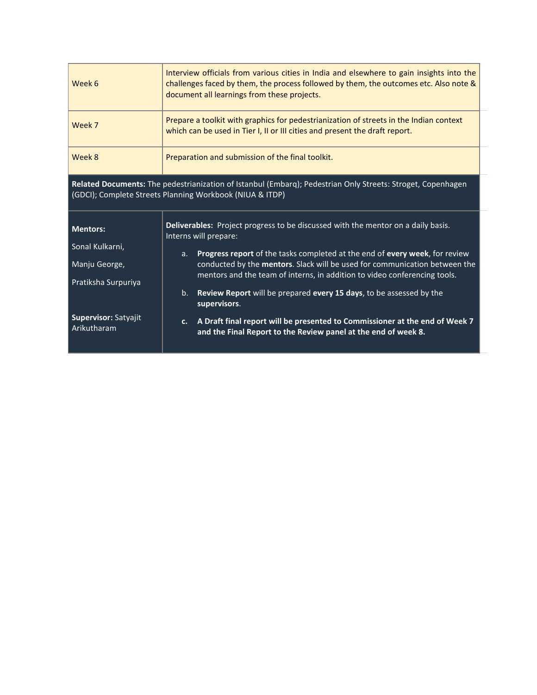| Week 6                                                                                                                                                                  | Interview officials from various cities in India and elsewhere to gain insights into the<br>challenges faced by them, the process followed by them, the outcomes etc. Also note &<br>document all learnings from these projects.                         |  |  |
|-------------------------------------------------------------------------------------------------------------------------------------------------------------------------|----------------------------------------------------------------------------------------------------------------------------------------------------------------------------------------------------------------------------------------------------------|--|--|
| Week 7                                                                                                                                                                  | Prepare a toolkit with graphics for pedestrianization of streets in the Indian context<br>which can be used in Tier I, II or III cities and present the draft report.                                                                                    |  |  |
| Week 8                                                                                                                                                                  | Preparation and submission of the final toolkit.                                                                                                                                                                                                         |  |  |
| Related Documents: The pedestrianization of Istanbul (Embarq); Pedestrian Only Streets: Stroget, Copenhagen<br>(GDCI); Complete Streets Planning Workbook (NIUA & ITDP) |                                                                                                                                                                                                                                                          |  |  |
| <b>Mentors:</b><br>Sonal Kulkarni,                                                                                                                                      | Deliverables: Project progress to be discussed with the mentor on a daily basis.<br>Interns will prepare:                                                                                                                                                |  |  |
| Manju George,<br>Pratiksha Surpuriya                                                                                                                                    | Progress report of the tasks completed at the end of every week, for review<br>a <sub>r</sub><br>conducted by the mentors. Slack will be used for communication between the<br>mentors and the team of interns, in addition to video conferencing tools. |  |  |
|                                                                                                                                                                         | Review Report will be prepared every 15 days, to be assessed by the<br>b.<br>supervisors.                                                                                                                                                                |  |  |
| Supervisor: Satyajit<br>Arikutharam                                                                                                                                     | A Draft final report will be presented to Commissioner at the end of Week 7<br>C <sub>1</sub><br>and the Final Report to the Review panel at the end of week 8.                                                                                          |  |  |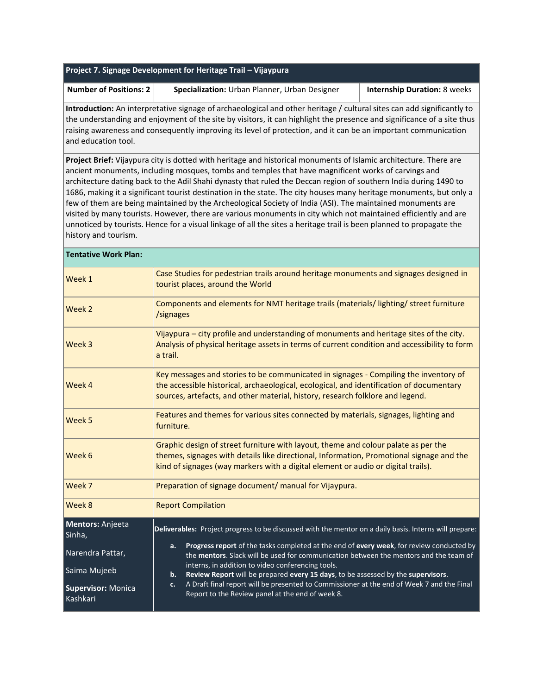| Project 7. Signage Development for Heritage Trail - Vijaypura                                                                                                                                                                                                                                                                                                                             |                                                                                                                                                                                                                                                                                                                                                                                                                                                                                                                                                                                                                                                                                                                                                                                                                              |  |                                     |  |
|-------------------------------------------------------------------------------------------------------------------------------------------------------------------------------------------------------------------------------------------------------------------------------------------------------------------------------------------------------------------------------------------|------------------------------------------------------------------------------------------------------------------------------------------------------------------------------------------------------------------------------------------------------------------------------------------------------------------------------------------------------------------------------------------------------------------------------------------------------------------------------------------------------------------------------------------------------------------------------------------------------------------------------------------------------------------------------------------------------------------------------------------------------------------------------------------------------------------------------|--|-------------------------------------|--|
| <b>Number of Positions: 2</b>                                                                                                                                                                                                                                                                                                                                                             | Specialization: Urban Planner, Urban Designer                                                                                                                                                                                                                                                                                                                                                                                                                                                                                                                                                                                                                                                                                                                                                                                |  | <b>Internship Duration: 8 weeks</b> |  |
| Introduction: An interpretative signage of archaeological and other heritage / cultural sites can add significantly to<br>the understanding and enjoyment of the site by visitors, it can highlight the presence and significance of a site thus<br>raising awareness and consequently improving its level of protection, and it can be an important communication<br>and education tool. |                                                                                                                                                                                                                                                                                                                                                                                                                                                                                                                                                                                                                                                                                                                                                                                                                              |  |                                     |  |
| history and tourism.                                                                                                                                                                                                                                                                                                                                                                      | Project Brief: Vijaypura city is dotted with heritage and historical monuments of Islamic architecture. There are<br>ancient monuments, including mosques, tombs and temples that have magnificent works of carvings and<br>architecture dating back to the Adil Shahi dynasty that ruled the Deccan region of southern India during 1490 to<br>1686, making it a significant tourist destination in the state. The city houses many heritage monuments, but only a<br>few of them are being maintained by the Archeological Society of India (ASI). The maintained monuments are<br>visited by many tourists. However, there are various monuments in city which not maintained efficiently and are<br>unnoticed by tourists. Hence for a visual linkage of all the sites a heritage trail is been planned to propagate the |  |                                     |  |
| <b>Tentative Work Plan:</b>                                                                                                                                                                                                                                                                                                                                                               |                                                                                                                                                                                                                                                                                                                                                                                                                                                                                                                                                                                                                                                                                                                                                                                                                              |  |                                     |  |
| Week 1                                                                                                                                                                                                                                                                                                                                                                                    | Case Studies for pedestrian trails around heritage monuments and signages designed in<br>tourist places, around the World                                                                                                                                                                                                                                                                                                                                                                                                                                                                                                                                                                                                                                                                                                    |  |                                     |  |
| Week 2                                                                                                                                                                                                                                                                                                                                                                                    | Components and elements for NMT heritage trails (materials/lighting/street furniture<br>/signages                                                                                                                                                                                                                                                                                                                                                                                                                                                                                                                                                                                                                                                                                                                            |  |                                     |  |
| Week 3                                                                                                                                                                                                                                                                                                                                                                                    | Vijaypura - city profile and understanding of monuments and heritage sites of the city.<br>Analysis of physical heritage assets in terms of current condition and accessibility to form<br>a trail.                                                                                                                                                                                                                                                                                                                                                                                                                                                                                                                                                                                                                          |  |                                     |  |
| Week 4                                                                                                                                                                                                                                                                                                                                                                                    | Key messages and stories to be communicated in signages - Compiling the inventory of<br>the accessible historical, archaeological, ecological, and identification of documentary<br>sources, artefacts, and other material, history, research folklore and legend.                                                                                                                                                                                                                                                                                                                                                                                                                                                                                                                                                           |  |                                     |  |
| Week 5                                                                                                                                                                                                                                                                                                                                                                                    | Features and themes for various sites connected by materials, signages, lighting and<br>furniture.                                                                                                                                                                                                                                                                                                                                                                                                                                                                                                                                                                                                                                                                                                                           |  |                                     |  |
| Week 6                                                                                                                                                                                                                                                                                                                                                                                    | Graphic design of street furniture with layout, theme and colour palate as per the<br>themes, signages with details like directional, Information, Promotional signage and the<br>kind of signages (way markers with a digital element or audio or digital trails).                                                                                                                                                                                                                                                                                                                                                                                                                                                                                                                                                          |  |                                     |  |
| Week 7                                                                                                                                                                                                                                                                                                                                                                                    | Preparation of signage document/ manual for Vijaypura.                                                                                                                                                                                                                                                                                                                                                                                                                                                                                                                                                                                                                                                                                                                                                                       |  |                                     |  |
| Week 8                                                                                                                                                                                                                                                                                                                                                                                    | <b>Report Compilation</b>                                                                                                                                                                                                                                                                                                                                                                                                                                                                                                                                                                                                                                                                                                                                                                                                    |  |                                     |  |
| <b>Mentors: Anjeeta</b><br>Sinha,                                                                                                                                                                                                                                                                                                                                                         | Deliverables: Project progress to be discussed with the mentor on a daily basis. Interns will prepare:                                                                                                                                                                                                                                                                                                                                                                                                                                                                                                                                                                                                                                                                                                                       |  |                                     |  |
| Narendra Pattar,                                                                                                                                                                                                                                                                                                                                                                          | Progress report of the tasks completed at the end of every week, for review conducted by<br>а.<br>the mentors. Slack will be used for communication between the mentors and the team of                                                                                                                                                                                                                                                                                                                                                                                                                                                                                                                                                                                                                                      |  |                                     |  |
| Saima Mujeeb                                                                                                                                                                                                                                                                                                                                                                              | interns, in addition to video conferencing tools.<br>Review Report will be prepared every 15 days, to be assessed by the supervisors.<br>b.                                                                                                                                                                                                                                                                                                                                                                                                                                                                                                                                                                                                                                                                                  |  |                                     |  |
| <b>Supervisor: Monica</b><br>Kashkari                                                                                                                                                                                                                                                                                                                                                     | A Draft final report will be presented to Commissioner at the end of Week 7 and the Final<br>c.<br>Report to the Review panel at the end of week 8.                                                                                                                                                                                                                                                                                                                                                                                                                                                                                                                                                                                                                                                                          |  |                                     |  |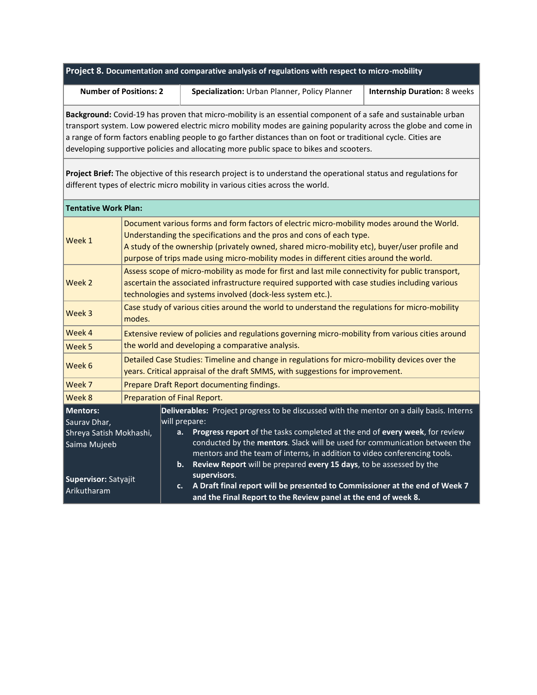#### **Project 8. Documentation and comparative analysis of regulations with respect to micro-mobility**

**Number of Positions: 2 Specialization:** Urban Planner, Policy Planner **| Internship Duration:** 8 weeks

**Background:** Covid-19 has proven that micro-mobility is an essential component of a safe and sustainable urban transport system. Low powered electric micro mobility modes are gaining popularity across the globe and come in a range of form factors enabling people to go farther distances than on foot or traditional cycle. Cities are developing supportive policies and allocating more public space to bikes and scooters.

**Project Brief:** The objective of this research project is to understand the operational status and regulations for different types of electric micro mobility in various cities across the world.

| <b>Tentative Work Plan:</b>                                         |                                                                                                                                                                                                                                                                                                                                                               |                                                                                                                                                                                                                                                                                                                                                           |  |
|---------------------------------------------------------------------|---------------------------------------------------------------------------------------------------------------------------------------------------------------------------------------------------------------------------------------------------------------------------------------------------------------------------------------------------------------|-----------------------------------------------------------------------------------------------------------------------------------------------------------------------------------------------------------------------------------------------------------------------------------------------------------------------------------------------------------|--|
| <b>Week 1</b>                                                       | Document various forms and form factors of electric micro-mobility modes around the World.<br>Understanding the specifications and the pros and cons of each type.<br>A study of the ownership (privately owned, shared micro-mobility etc), buyer/user profile and<br>purpose of trips made using micro-mobility modes in different cities around the world. |                                                                                                                                                                                                                                                                                                                                                           |  |
| <b>Week 2</b>                                                       | Assess scope of micro-mobility as mode for first and last mile connectivity for public transport,<br>ascertain the associated infrastructure required supported with case studies including various<br>technologies and systems involved (dock-less system etc.).                                                                                             |                                                                                                                                                                                                                                                                                                                                                           |  |
| Week 3                                                              | Case study of various cities around the world to understand the regulations for micro-mobility<br>modes.                                                                                                                                                                                                                                                      |                                                                                                                                                                                                                                                                                                                                                           |  |
| Week 4                                                              | Extensive review of policies and regulations governing micro-mobility from various cities around                                                                                                                                                                                                                                                              |                                                                                                                                                                                                                                                                                                                                                           |  |
| Week 5                                                              | the world and developing a comparative analysis.                                                                                                                                                                                                                                                                                                              |                                                                                                                                                                                                                                                                                                                                                           |  |
| Week 6                                                              | Detailed Case Studies: Timeline and change in regulations for micro-mobility devices over the<br>years. Critical appraisal of the draft SMMS, with suggestions for improvement.                                                                                                                                                                               |                                                                                                                                                                                                                                                                                                                                                           |  |
| Week 7                                                              | Prepare Draft Report documenting findings.                                                                                                                                                                                                                                                                                                                    |                                                                                                                                                                                                                                                                                                                                                           |  |
| <b>Week 8</b>                                                       | Preparation of Final Report.                                                                                                                                                                                                                                                                                                                                  |                                                                                                                                                                                                                                                                                                                                                           |  |
| Mentors:<br>Saurav Dhar,<br>Shreya Satish Mokhashi,<br>Saima Mujeeb |                                                                                                                                                                                                                                                                                                                                                               | Deliverables: Project progress to be discussed with the mentor on a daily basis. Interns<br>will prepare:<br>Progress report of the tasks completed at the end of every week, for review<br>a.<br>conducted by the mentors. Slack will be used for communication between the<br>mentors and the team of interns, in addition to video conferencing tools. |  |
| Supervisor: Satyajit<br>Arikutharam                                 |                                                                                                                                                                                                                                                                                                                                                               | Review Report will be prepared every 15 days, to be assessed by the<br>$\mathbf{b}$ .<br>supervisors.<br>A Draft final report will be presented to Commissioner at the end of Week 7<br>c.<br>and the Final Report to the Review panel at the end of week 8.                                                                                              |  |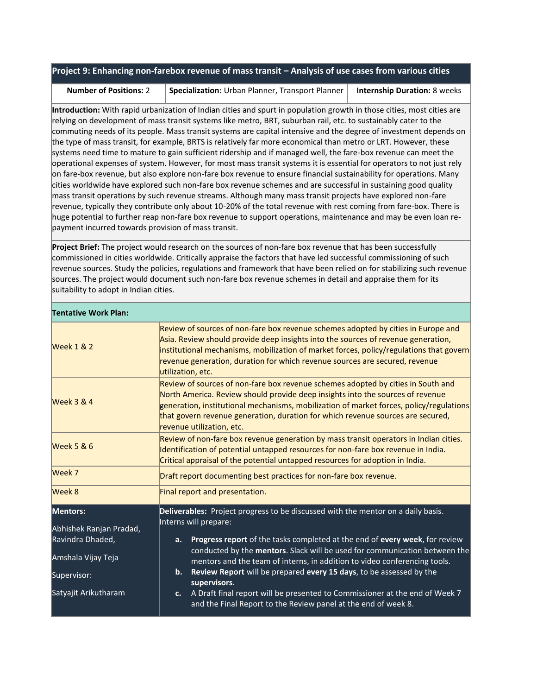#### **Project 9: Enhancing non-farebox revenue of mass transit – Analysis of use cases from various cities**

**Number of Positions:** 2 **Specialization:** Urban Planner, Transport Planner **Internship Duration:** 8 weeks

**Introduction:** With rapid urbanization of Indian cities and spurt in population growth in those cities, most cities are relying on development of mass transit systems like metro, BRT, suburban rail, etc. to sustainably cater to the commuting needs of its people. Mass transit systems are capital intensive and the degree of investment depends on the type of mass transit, for example, BRTS is relatively far more economical than metro or LRT. However, these systems need time to mature to gain sufficient ridership and if managed well, the fare-box revenue can meet the operational expenses of system. However, for most mass transit systems it is essential for operators to not just rely on fare-box revenue, but also explore non-fare box revenue to ensure financial sustainability for operations. Many cities worldwide have explored such non-fare box revenue schemes and are successful in sustaining good quality mass transit operations by such revenue streams. Although many mass transit projects have explored non-fare revenue, typically they contribute only about 10-20% of the total revenue with rest coming from fare-box. There is huge potential to further reap non-fare box revenue to support operations, maintenance and may be even loan repayment incurred towards provision of mass transit.

**Project Brief:** The project would research on the sources of non-fare box revenue that has been successfully commissioned in cities worldwide. Critically appraise the factors that have led successful commissioning of such revenue sources. Study the policies, regulations and framework that have been relied on for stabilizing such revenue sources. The project would document such non-fare box revenue schemes in detail and appraise them for its suitability to adopt in Indian cities.

| <b>Tentative Work Plan:</b>         |                                                                                                                                                                                                                                                                                                                                                                               |  |  |
|-------------------------------------|-------------------------------------------------------------------------------------------------------------------------------------------------------------------------------------------------------------------------------------------------------------------------------------------------------------------------------------------------------------------------------|--|--|
| <b>Week 1 &amp; 2</b>               | Review of sources of non-fare box revenue schemes adopted by cities in Europe and<br>Asia. Review should provide deep insights into the sources of revenue generation,<br>institutional mechanisms, mobilization of market forces, policy/regulations that govern<br>revenue generation, duration for which revenue sources are secured, revenue<br>utilization, etc.         |  |  |
| <b>Week 3 &amp; 4</b>               | Review of sources of non-fare box revenue schemes adopted by cities in South and<br>North America. Review should provide deep insights into the sources of revenue<br>generation, institutional mechanisms, mobilization of market forces, policy/regulations<br>that govern revenue generation, duration for which revenue sources are secured,<br>revenue utilization, etc. |  |  |
| <b>Week 5 &amp; 6</b>               | Review of non-fare box revenue generation by mass transit operators in Indian cities.<br>Identification of potential untapped resources for non-fare box revenue in India.<br>Critical appraisal of the potential untapped resources for adoption in India.                                                                                                                   |  |  |
| Week 7                              | Draft report documenting best practices for non-fare box revenue.                                                                                                                                                                                                                                                                                                             |  |  |
| Week 8                              | Final report and presentation.                                                                                                                                                                                                                                                                                                                                                |  |  |
| Mentors:<br>Abhishek Ranjan Pradad, | Deliverables: Project progress to be discussed with the mentor on a daily basis.<br>Interns will prepare:                                                                                                                                                                                                                                                                     |  |  |
| Ravindra Dhaded,                    | Progress report of the tasks completed at the end of every week, for review<br>a.<br>conducted by the mentors. Slack will be used for communication between the                                                                                                                                                                                                               |  |  |
| Amshala Vijay Teja                  | mentors and the team of interns, in addition to video conferencing tools.                                                                                                                                                                                                                                                                                                     |  |  |
| Supervisor:                         | Review Report will be prepared every 15 days, to be assessed by the<br>$\mathbf{b}$ .<br>supervisors.                                                                                                                                                                                                                                                                         |  |  |
| Satyajit Arikutharam                | A Draft final report will be presented to Commissioner at the end of Week 7<br>$c_{\cdot}$<br>and the Final Report to the Review panel at the end of week 8.                                                                                                                                                                                                                  |  |  |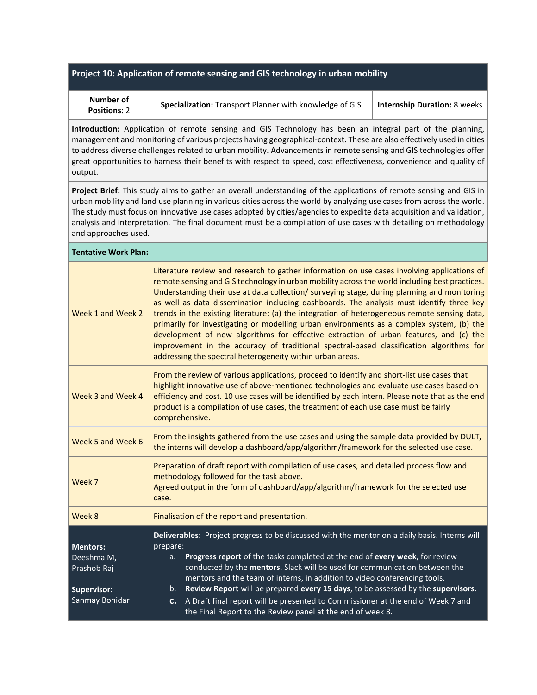#### **Project 10: Application of remote sensing and GIS technology in urban mobility**

| Number of           |  |
|---------------------|--|
| <b>Positions: 2</b> |  |

**Specialization:** Transport Planner with knowledge of GIS **Internship Duration:** 8 weeks

**Introduction:** Application of remote sensing and GIS Technology has been an integral part of the planning, management and monitoring of various projects having geographical-context. These are also effectively used in cities to address diverse challenges related to urban mobility. Advancements in remote sensing and GIS technologies offer great opportunities to harness their benefits with respect to speed, cost effectiveness, convenience and quality of output.

**Project Brief:** This study aims to gather an overall understanding of the applications of remote sensing and GIS in urban mobility and land use planning in various cities across the world by analyzing use cases from across the world. The study must focus on innovative use cases adopted by cities/agencies to expedite data acquisition and validation, analysis and interpretation. The final document must be a compilation of use cases with detailing on methodology and approaches used.

| <b>Tentative Work Plan:</b>                                                   |                                                                                                                                                                                                                                                                                                                                                                                                                                                                                                                                                                                                                                                                                                                                                                                                                                       |  |  |
|-------------------------------------------------------------------------------|---------------------------------------------------------------------------------------------------------------------------------------------------------------------------------------------------------------------------------------------------------------------------------------------------------------------------------------------------------------------------------------------------------------------------------------------------------------------------------------------------------------------------------------------------------------------------------------------------------------------------------------------------------------------------------------------------------------------------------------------------------------------------------------------------------------------------------------|--|--|
| Week 1 and Week 2                                                             | Literature review and research to gather information on use cases involving applications of<br>remote sensing and GIS technology in urban mobility across the world including best practices.<br>Understanding their use at data collection/ surveying stage, during planning and monitoring<br>as well as data dissemination including dashboards. The analysis must identify three key<br>trends in the existing literature: (a) the integration of heterogeneous remote sensing data,<br>primarily for investigating or modelling urban environments as a complex system, (b) the<br>development of new algorithms for effective extraction of urban features, and (c) the<br>improvement in the accuracy of traditional spectral-based classification algorithms for<br>addressing the spectral heterogeneity within urban areas. |  |  |
| Week 3 and Week 4                                                             | From the review of various applications, proceed to identify and short-list use cases that<br>highlight innovative use of above-mentioned technologies and evaluate use cases based on<br>efficiency and cost. 10 use cases will be identified by each intern. Please note that as the end<br>product is a compilation of use cases, the treatment of each use case must be fairly<br>comprehensive.                                                                                                                                                                                                                                                                                                                                                                                                                                  |  |  |
| Week 5 and Week 6                                                             | From the insights gathered from the use cases and using the sample data provided by DULT,<br>the interns will develop a dashboard/app/algorithm/framework for the selected use case.                                                                                                                                                                                                                                                                                                                                                                                                                                                                                                                                                                                                                                                  |  |  |
| Week 7                                                                        | Preparation of draft report with compilation of use cases, and detailed process flow and<br>methodology followed for the task above.<br>Agreed output in the form of dashboard/app/algorithm/framework for the selected use<br>case.                                                                                                                                                                                                                                                                                                                                                                                                                                                                                                                                                                                                  |  |  |
| Week 8                                                                        | Finalisation of the report and presentation.                                                                                                                                                                                                                                                                                                                                                                                                                                                                                                                                                                                                                                                                                                                                                                                          |  |  |
| <b>Mentors:</b><br>Deeshma M,<br>Prashob Raj<br>Supervisor:<br>Sanmay Bohidar | Deliverables: Project progress to be discussed with the mentor on a daily basis. Interns will<br>prepare:<br>Progress report of the tasks completed at the end of every week, for review<br>a.<br>conducted by the mentors. Slack will be used for communication between the<br>mentors and the team of interns, in addition to video conferencing tools.<br>Review Report will be prepared every 15 days, to be assessed by the supervisors.<br>$b_{-}$<br>A Draft final report will be presented to Commissioner at the end of Week 7 and<br>c.<br>the Final Report to the Review panel at the end of week 8.                                                                                                                                                                                                                       |  |  |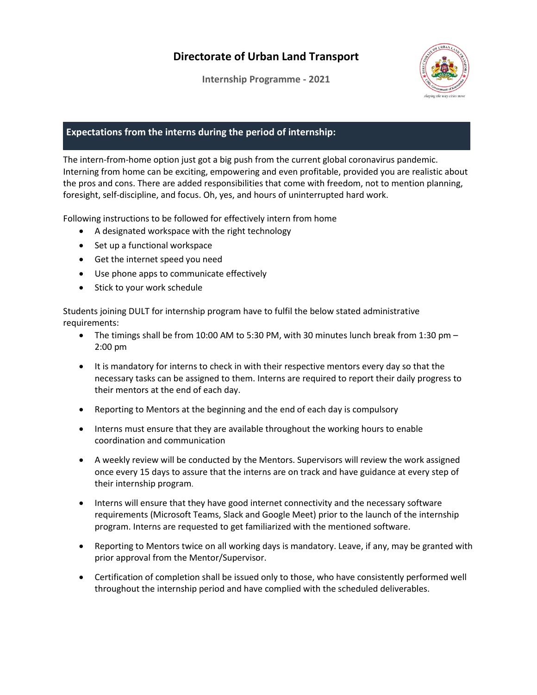**Internship Programme - 2021**



## **Expectations from the interns during the period of internship:**

The intern-from-home option just got a big push from the current global coronavirus pandemic. Interning from home can be exciting, empowering and even profitable, provided you are realistic about the pros and cons. There are added responsibilities that come with freedom, not to mention planning, foresight, self-discipline, and focus. Oh, yes, and hours of uninterrupted hard work.

Following instructions to be followed for effectively intern from home

- A designated workspace with the right technology
- Set up a functional workspace
- Get the internet speed you need
- Use phone apps to communicate effectively
- Stick to your work schedule

Students joining DULT for internship program have to fulfil the below stated administrative requirements:

- The timings shall be from 10:00 AM to 5:30 PM, with 30 minutes lunch break from 1:30 pm 2:00 pm
- It is mandatory for interns to check in with their respective mentors every day so that the necessary tasks can be assigned to them. Interns are required to report their daily progress to their mentors at the end of each day.
- Reporting to Mentors at the beginning and the end of each day is compulsory
- Interns must ensure that they are available throughout the working hours to enable coordination and communication
- A weekly review will be conducted by the Mentors. Supervisors will review the work assigned once every 15 days to assure that the interns are on track and have guidance at every step of their internship program.
- Interns will ensure that they have good internet connectivity and the necessary software requirements (Microsoft Teams, Slack and Google Meet) prior to the launch of the internship program. Interns are requested to get familiarized with the mentioned software.
- Reporting to Mentors twice on all working days is mandatory. Leave, if any, may be granted with prior approval from the Mentor/Supervisor.
- Certification of completion shall be issued only to those, who have consistently performed well throughout the internship period and have complied with the scheduled deliverables.